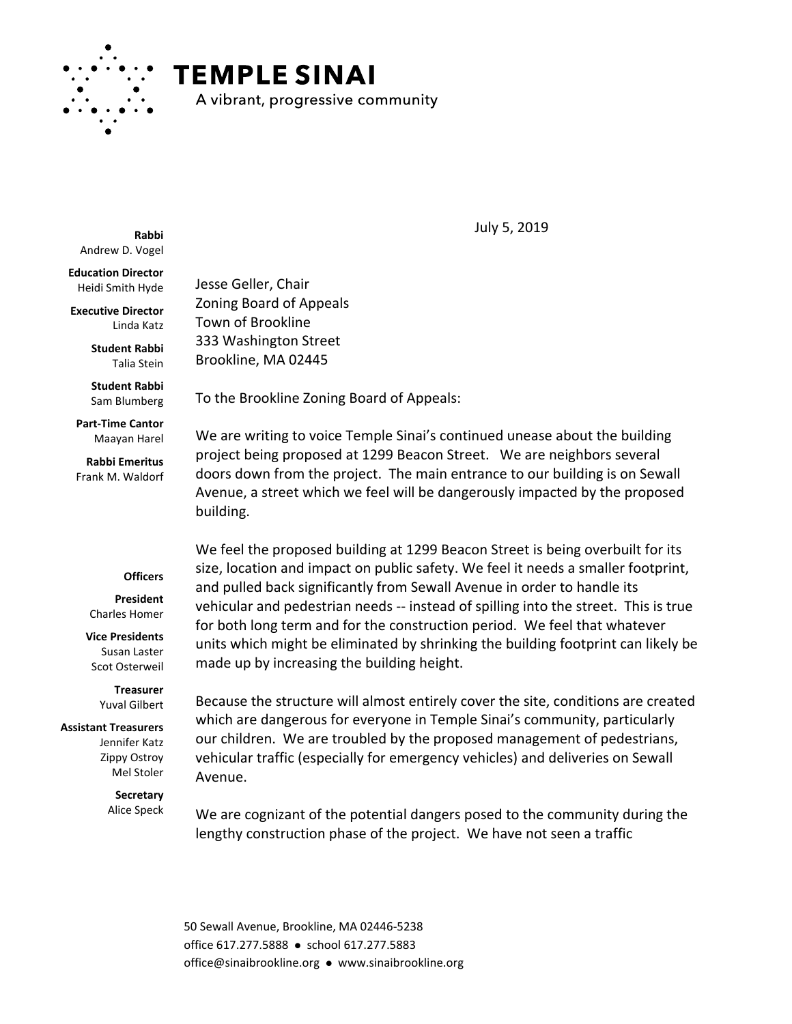

## **TEMPLE SINAI**

A vibrant, progressive community

**Rabbi** Andrew D. Vogel

**Education Director** Heidi Smith Hyde

**Executive Director** Linda Katz

> **Student Rabbi** Talia Stein

**Student Rabbi** Sam Blumberg

**Part-Time Cantor** Maayan Harel

**Rabbi Emeritus** Frank M. Waldorf

## **Officers**

**President** Charles Homer

**Vice Presidents** Susan Laster Scot Osterweil

> **Treasurer** Yuval Gilbert

## **Assistant Treasurers**

Jennifer Katz Zippy Ostroy Mel Stoler

> **Secretary** Alice Speck

Jesse Geller, Chair Zoning Board of Appeals Town of Brookline 333 Washington Street Brookline, MA 02445

To the Brookline Zoning Board of Appeals:

We are writing to voice Temple Sinai's continued unease about the building project being proposed at 1299 Beacon Street. We are neighbors several doors down from the project. The main entrance to our building is on Sewall Avenue, a street which we feel will be dangerously impacted by the proposed building.

We feel the proposed building at 1299 Beacon Street is being overbuilt for its size, location and impact on public safety. We feel it needs a smaller footprint, and pulled back significantly from Sewall Avenue in order to handle its vehicular and pedestrian needs -- instead of spilling into the street. This is true for both long term and for the construction period. We feel that whatever units which might be eliminated by shrinking the building footprint can likely be made up by increasing the building height.

Because the structure will almost entirely cover the site, conditions are created which are dangerous for everyone in Temple Sinai's community, particularly our children. We are troubled by the proposed management of pedestrians, vehicular traffic (especially for emergency vehicles) and deliveries on Sewall Avenue.

We are cognizant of the potential dangers posed to the community during the lengthy construction phase of the project. We have not seen a traffic

50 Sewall Avenue, Brookline, MA 02446-5238 office 617.277.5888 · school 617.277.5883 office@sinaibrookline.org www.sinaibrookline.org

July 5, 2019